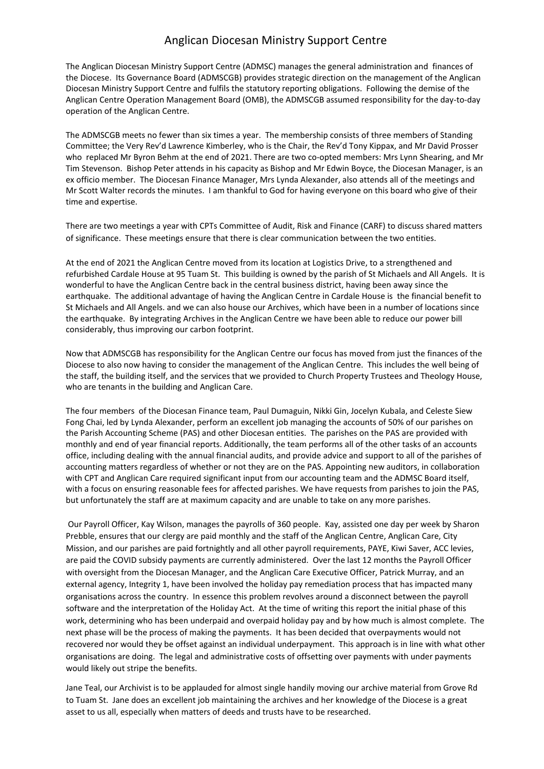## Anglican Diocesan Ministry Support Centre

The Anglican Diocesan Ministry Support Centre (ADMSC) manages the general administration and finances of the Diocese. Its Governance Board (ADMSCGB) provides strategic direction on the management of the Anglican Diocesan Ministry Support Centre and fulfils the statutory reporting obligations. Following the demise of the Anglican Centre Operation Management Board (OMB), the ADMSCGB assumed responsibility for the day-to-day operation of the Anglican Centre.

The ADMSCGB meets no fewer than six times a year. The membership consists of three members of Standing Committee; the Very Rev'd Lawrence Kimberley, who is the Chair, the Rev'd Tony Kippax, and Mr David Prosser who replaced Mr Byron Behm at the end of 2021. There are two co-opted members: Mrs Lynn Shearing, and Mr Tim Stevenson. Bishop Peter attends in his capacity as Bishop and Mr Edwin Boyce, the Diocesan Manager, is an ex officio member. The Diocesan Finance Manager, Mrs Lynda Alexander, also attends all of the meetings and Mr Scott Walter records the minutes. I am thankful to God for having everyone on this board who give of their time and expertise.

There are two meetings a year with CPTs Committee of Audit, Risk and Finance (CARF) to discuss shared matters of significance. These meetings ensure that there is clear communication between the two entities.

At the end of 2021 the Anglican Centre moved from its location at Logistics Drive, to a strengthened and refurbished Cardale House at 95 Tuam St. This building is owned by the parish of St Michaels and All Angels. It is wonderful to have the Anglican Centre back in the central business district, having been away since the earthquake. The additional advantage of having the Anglican Centre in Cardale House is the financial benefit to St Michaels and All Angels. and we can also house our Archives, which have been in a number of locations since the earthquake. By integrating Archives in the Anglican Centre we have been able to reduce our power bill considerably, thus improving our carbon footprint.

Now that ADMSCGB has responsibility for the Anglican Centre our focus has moved from just the finances of the Diocese to also now having to consider the management of the Anglican Centre. This includes the well being of the staff, the building itself, and the services that we provided to Church Property Trustees and Theology House, who are tenants in the building and Anglican Care.

The four members of the Diocesan Finance team, Paul Dumaguin, Nikki Gin, Jocelyn Kubala, and Celeste Siew Fong Chai, led by Lynda Alexander, perform an excellent job managing the accounts of 50% of our parishes on the Parish Accounting Scheme (PAS) and other Diocesan entities. The parishes on the PAS are provided with monthly and end of year financial reports. Additionally, the team performs all of the other tasks of an accounts office, including dealing with the annual financial audits, and provide advice and support to all of the parishes of accounting matters regardless of whether or not they are on the PAS. Appointing new auditors, in collaboration with CPT and Anglican Care required significant input from our accounting team and the ADMSC Board itself, with a focus on ensuring reasonable fees for affected parishes. We have requests from parishes to join the PAS, but unfortunately the staff are at maximum capacity and are unable to take on any more parishes.

Our Payroll Officer, Kay Wilson, manages the payrolls of 360 people. Kay, assisted one day per week by Sharon Prebble, ensures that our clergy are paid monthly and the staff of the Anglican Centre, Anglican Care, City Mission, and our parishes are paid fortnightly and all other payroll requirements, PAYE, Kiwi Saver, ACC levies, are paid the COVID subsidy payments are currently administered. Over the last 12 months the Payroll Officer with oversight from the Diocesan Manager, and the Anglican Care Executive Officer, Patrick Murray, and an external agency, Integrity 1, have been involved the holiday pay remediation process that has impacted many organisations across the country. In essence this problem revolves around a disconnect between the payroll software and the interpretation of the Holiday Act. At the time of writing this report the initial phase of this work, determining who has been underpaid and overpaid holiday pay and by how much is almost complete. The next phase will be the process of making the payments. It has been decided that overpayments would not recovered nor would they be offset against an individual underpayment. This approach is in line with what other organisations are doing. The legal and administrative costs of offsetting over payments with under payments would likely out stripe the benefits.

Jane Teal, our Archivist is to be applauded for almost single handily moving our archive material from Grove Rd to Tuam St. Jane does an excellent job maintaining the archives and her knowledge of the Diocese is a great asset to us all, especially when matters of deeds and trusts have to be researched.